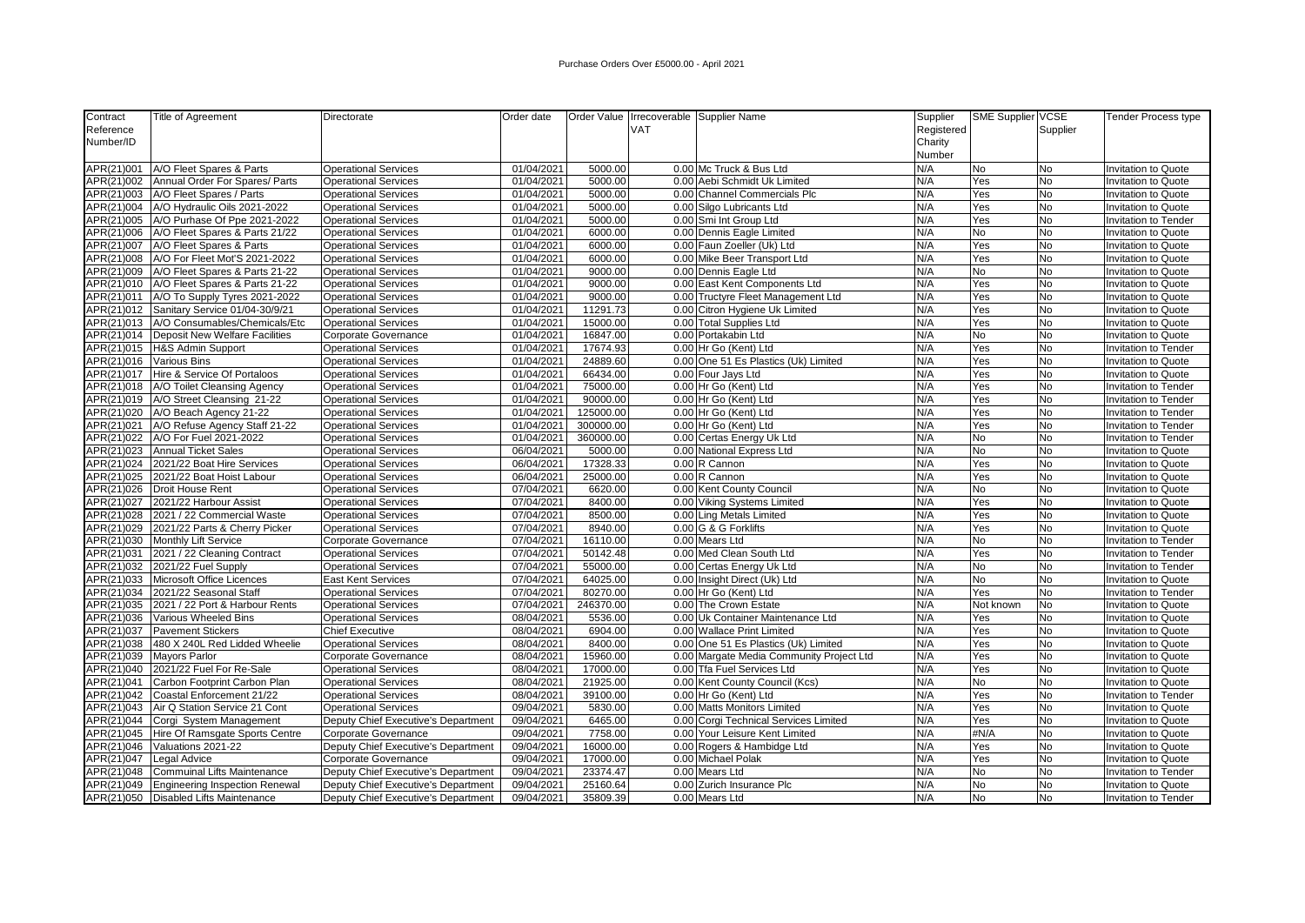| Contract   | <b>Title of Agreement</b>                   | Directorate                         | Order date |           |            | Order Value Irrecoverable Supplier Name  | Supplier   | SME Supplier VCSE |           | <b>Tender Process type</b>  |
|------------|---------------------------------------------|-------------------------------------|------------|-----------|------------|------------------------------------------|------------|-------------------|-----------|-----------------------------|
| Reference  |                                             |                                     |            |           | <b>VAT</b> |                                          | Registered |                   | Supplier  |                             |
| Number/ID  |                                             |                                     |            |           |            |                                          | Charity    |                   |           |                             |
|            |                                             |                                     |            |           |            |                                          | Number     |                   |           |                             |
| APR(21)001 | A/O Fleet Spares & Parts                    | <b>Operational Services</b>         | 01/04/2021 | 5000.00   |            | 0.00 Mc Truck & Bus Ltd                  | N/A        | <b>No</b>         | No        | <b>Invitation to Quote</b>  |
| APR(21)002 | Annual Order For Spares/ Parts              | <b>Operational Services</b>         | 01/04/2021 | 5000.00   |            | 0.00 Aebi Schmidt Uk Limited             | N/A        | Yes               | No        | <b>Invitation to Quote</b>  |
| APR(21)003 | A/O Fleet Spares / Parts                    | <b>Operational Services</b>         | 01/04/2021 | 5000.00   |            | 0.00 Channel Commercials Plc             | N/A        | Yes               | <b>No</b> | Invitation to Quote         |
|            | APR(21)004   A/O Hydraulic Oils 2021-2022   | <b>Operational Services</b>         | 01/04/2021 | 5000.00   |            | 0.00 Silgo Lubricants Ltd                | N/A        | Yes               | No        | <b>Invitation to Quote</b>  |
|            | APR(21)005 A/O Purhase Of Ppe 2021-2022     | <b>Operational Services</b>         | 01/04/2021 | 5000.00   |            | 0.00 Smi Int Group Ltd                   | N/A        | Yes               | No        | Invitation to Tender        |
|            | APR(21)006   A/O Fleet Spares & Parts 21/22 | <b>Operational Services</b>         | 01/04/2021 | 6000.00   |            | 0.00 Dennis Eagle Limited                | N/A        | <b>No</b>         | No        | <b>Invitation to Quote</b>  |
|            | APR(21)007   A/O Fleet Spares & Parts       | <b>Operational Services</b>         | 01/04/2021 | 6000.00   |            | 0.00 Faun Zoeller (Uk) Ltd               | N/A        | Yes               | No        | <b>Invitation to Quote</b>  |
| APR(21)008 | A/O For Fleet Mot'S 2021-2022               | <b>Operational Services</b>         | 01/04/2021 | 6000.00   |            | 0.00 Mike Beer Transport Ltd             | N/A        | Yes               | No        | <b>Invitation to Quote</b>  |
|            | APR(21)009 A/O Fleet Spares & Parts 21-22   | <b>Operational Services</b>         | 01/04/2021 | 9000.00   |            | 0.00 Dennis Eagle Ltd                    | N/A        | No                | No        | <b>Invitation to Quote</b>  |
|            | APR(21)010   A/O Fleet Spares & Parts 21-22 | <b>Operational Services</b>         | 01/04/2021 | 9000.00   |            | 0.00 East Kent Components Ltd            | N/A        | Yes               | No        | <b>Invitation to Quote</b>  |
| APR(21)011 | A/O To Supply Tyres 2021-2022               | <b>Operational Services</b>         | 01/04/2021 | 9000.00   |            | 0.00 Tructyre Fleet Management Ltd       | N/A        | Yes               | <b>No</b> | Invitation to Quote         |
|            | APR(21)012   Sanitary Service 01/04-30/9/21 | <b>Operational Services</b>         | 01/04/2021 | 11291.73  |            | 0.00 Citron Hygiene Uk Limited           | N/A        | Yes               | No        | Invitation to Quote         |
|            | APR(21)013 A/O Consumables/Chemicals/Etc    | <b>Operational Services</b>         | 01/04/2021 | 15000.00  |            | 0.00 Total Supplies Ltd                  | N/A        | Yes               | No        | <b>Invitation to Quote</b>  |
|            | APR(21)014   Deposit New Welfare Facilities | Corporate Governance                | 01/04/2021 | 16847.00  |            | 0.00 Portakabin Ltd                      | N/A        | No                | No        | Invitation to Quote         |
|            | APR(21)015  H&S Admin Support               | <b>Operational Services</b>         | 01/04/2021 | 17674.93  |            | 0.00 Hr Go (Kent) Ltd                    | N/A        | Yes               | No        | Invitation to Tender        |
| APR(21)016 | Various Bins                                | <b>Operational Services</b>         | 01/04/2021 | 24889.60  |            | 0.00 One 51 Es Plastics (Uk) Limited     | N/A        | Yes               | No        | Invitation to Quote         |
|            | APR(21)017   Hire & Service Of Portaloos    | <b>Operational Services</b>         | 01/04/2021 | 66434.00  |            | 0.00 Four Jays Ltd                       | N/A        | Yes               | No        | Invitation to Quote         |
|            | APR(21)018   A/O Toilet Cleansing Agency    | <b>Operational Services</b>         | 01/04/2021 | 75000.00  |            | 0.00 Hr Go (Kent) Ltd                    | N/A        | Yes               | No        | <b>Invitation to Tender</b> |
|            | APR(21)019   A/O Street Cleansing 21-22     | <b>Operational Services</b>         | 01/04/2021 | 90000.00  |            | 0.00 Hr Go (Kent) Ltd                    | N/A        | Yes               | No        | <b>Invitation to Tender</b> |
|            | APR(21)020   A/O Beach Agency 21-22         | <b>Operational Services</b>         | 01/04/2021 | 125000.00 |            | 0.00 Hr Go (Kent) Ltd                    | N/A        | Yes               | No        | <b>Invitation to Tender</b> |
| APR(21)021 | A/O Refuse Agency Staff 21-22               | <b>Operational Services</b>         | 01/04/2021 | 300000.00 |            | 0.00 Hr Go (Kent) Ltd                    | N/A        | Yes               | No        | <b>Invitation to Tender</b> |
|            | APR(21)022 A/O For Fuel 2021-2022           | <b>Operational Services</b>         | 01/04/2021 | 360000.00 |            | 0.00 Certas Energy Uk Ltd                | N/A        | No                | No        | Invitation to Tender        |
|            | APR(21)023 Annual Ticket Sales              | <b>Operational Services</b>         | 06/04/2021 | 5000.00   |            | 0.00 National Express Ltd                | N/A        | No                | No        | <b>Invitation to Quote</b>  |
| APR(21)024 | 2021/22 Boat Hire Services                  | <b>Operational Services</b>         | 06/04/2021 | 17328.33  |            | 0.00 R Cannon                            | N/A        | Yes               | <b>No</b> | <b>Invitation to Quote</b>  |
| APR(21)025 | 2021/22 Boat Hoist Labour                   | <b>Operational Services</b>         | 06/04/2021 | 25000.00  |            | $0.00$ R Cannon                          | N/A        | Yes               | <b>No</b> | Invitation to Quote         |
|            | APR(21)026 Droit House Rent                 | <b>Operational Services</b>         | 07/04/2021 | 6620.00   |            | 0.00 Kent County Council                 | N/A        | <b>No</b>         | No        | <b>Invitation to Quote</b>  |
| APR(21)027 | 2021/22 Harbour Assist                      | <b>Operational Services</b>         | 07/04/2021 | 8400.00   |            | 0.00 Viking Systems Limited              | N/A        | Yes               | <b>No</b> | Invitation to Quote         |
| APR(21)028 | 2021 / 22 Commercial Waste                  | <b>Operational Services</b>         | 07/04/2021 | 8500.00   |            | 0.00 Ling Metals Limited                 | N/A        | Yes               | lNo       | Invitation to Quote         |
| APR(21)029 | 2021/22 Parts & Cherry Picker               | <b>Operational Services</b>         | 07/04/2021 | 8940.00   |            | 0.00 G & G Forklifts                     | N/A        | Yes               | No        | Invitation to Quote         |
| APR(21)030 | Monthly Lift Service                        | Corporate Governance                | 07/04/2021 | 16110.00  |            | 0.00 Mears Ltd                           | N/A        | <b>No</b>         | No        | Invitation to Tender        |
| APR(21)031 | 2021 / 22 Cleaning Contract                 | <b>Operational Services</b>         | 07/04/2021 | 50142.48  |            | 0.00 Med Clean South Ltd                 | N/A        | Yes               | No        | Invitation to Tender        |
| APR(21)032 | 2021/22 Fuel Supply                         | <b>Operational Services</b>         | 07/04/2021 | 55000.00  |            | 0.00 Certas Energy Uk Ltd                | N/A        | <b>No</b>         | <b>No</b> | Invitation to Tender        |
| APR(21)033 | Microsoft Office Licences                   | <b>East Kent Services</b>           | 07/04/2021 | 64025.00  |            | 0.00 Insight Direct (Uk) Ltd             | N/A        | <b>No</b>         | <b>No</b> | Invitation to Quote         |
| APR(21)034 | 2021/22 Seasonal Staff                      | <b>Operational Services</b>         | 07/04/2021 | 80270.00  |            | 0.00 Hr Go (Kent) Ltd                    | N/A        | Yes               | No        | Invitation to Tender        |
| APR(21)035 | 2021 / 22 Port & Harbour Rents              | <b>Operational Services</b>         | 07/04/2021 | 246370.00 |            | 0.00 The Crown Estate                    | N/A        | Not known         | No        | Invitation to Quote         |
|            | APR(21)036 Various Wheeled Bins             | <b>Operational Services</b>         | 08/04/2021 | 5536.00   |            | 0.00 Uk Container Maintenance Ltd        | N/A        | Yes               | <b>No</b> | <b>Invitation to Quote</b>  |
| APR(21)037 | <b>Pavement Stickers</b>                    | <b>Chief Executive</b>              | 08/04/2021 | 6904.00   |            | 0.00 Wallace Print Limited               | N/A        | Yes               | No        | <b>Invitation to Quote</b>  |
|            | APR(21)038 480 X 240L Red Lidded Wheelie    | <b>Operational Services</b>         | 08/04/2021 | 8400.00   |            | 0.00 One 51 Es Plastics (Uk) Limited     | N/A        | Yes               | No        | <b>Invitation to Quote</b>  |
| APR(21)039 | Mayors Parlor                               | Corporate Governance                | 08/04/2021 | 15960.00  |            | 0.00 Margate Media Community Project Ltd | N/A        | Yes               | No        | <b>Invitation to Quote</b>  |
| APR(21)040 | 2021/22 Fuel For Re-Sale                    | <b>Operational Services</b>         | 08/04/2021 | 17000.00  |            | 0.00 Tfa Fuel Services Ltd               | N/A        | Yes               | No        | <b>Invitation to Quote</b>  |
| APR(21)041 | Carbon Footprint Carbon Plan                | <b>Operational Services</b>         | 08/04/2021 | 21925.00  |            | 0.00 Kent County Council (Kcs)           | N/A        | No                | No        | <b>Invitation to Quote</b>  |
| APR(21)042 | Coastal Enforcement 21/22                   | <b>Operational Services</b>         | 08/04/2021 | 39100.00  |            | 0.00 Hr Go (Kent) Ltd                    | N/A        | Yes               | No        | Invitation to Tender        |
|            | APR(21)043   Air Q Station Service 21 Cont  | <b>Operational Services</b>         | 09/04/2021 | 5830.00   |            | 0.00 Matts Monitors Limited              | N/A        | Yes               | No        | Invitation to Quote         |
| APR(21)044 | Corgi System Management                     | Deputy Chief Executive's Department | 09/04/2021 | 6465.00   |            | 0.00 Corgi Technical Services Limited    | N/A        | Yes               | No        | Invitation to Quote         |
| APR(21)045 | Hire Of Ramsgate Sports Centre              | Corporate Governance                | 09/04/2021 | 7758.00   |            | 0.00 Your Leisure Kent Limited           | N/A        | #N/A              | No        | Invitation to Quote         |
| APR(21)046 | Valuations 2021-22                          | Deputy Chief Executive's Department | 09/04/2021 | 16000.00  |            | 0.00 Rogers & Hambidge Ltd               | N/A        | Yes               | No        | Invitation to Quote         |
| APR(21)047 | Legal Advice                                | Corporate Governance                | 09/04/2021 | 17000.00  |            | 0.00 Michael Polak                       | N/A        | Yes               | No        | Invitation to Quote         |
| APR(21)048 | <b>Commuinal Lifts Maintenance</b>          | Deputy Chief Executive's Department | 09/04/2021 | 23374.47  |            | 0.00 Mears Ltd                           | N/A        | No                | No        | Invitation to Tender        |
|            | APR(21)049   Engineering Inspection Renewal | Deputy Chief Executive's Department | 09/04/2021 | 25160.64  |            | 0.00 Zurich Insurance Plc                | N/A        | <b>No</b>         | No        | <b>Invitation to Quote</b>  |
|            | APR(21)050   Disabled Lifts Maintenance     | Deputy Chief Executive's Department | 09/04/2021 | 35809.39  |            | 0.00 Mears Ltd                           | N/A        | No                | No        | Invitation to Tender        |